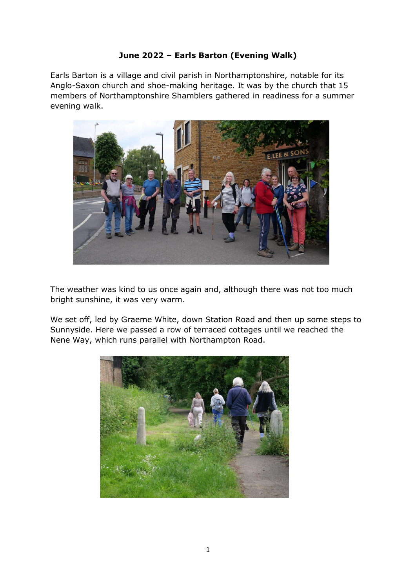## **June 2022 – Earls Barton (Evening Walk)**

Earls Barton is a village and civil parish in Northamptonshire, notable for its Anglo-Saxon church and shoe-making heritage. It was by the church that 15 members of Northamptonshire Shamblers gathered in readiness for a summer evening walk.



The weather was kind to us once again and, although there was not too much bright sunshine, it was very warm.

We set off, led by Graeme White, down Station Road and then up some steps to Sunnyside. Here we passed a row of terraced cottages until we reached the Nene Way, which runs parallel with Northampton Road.

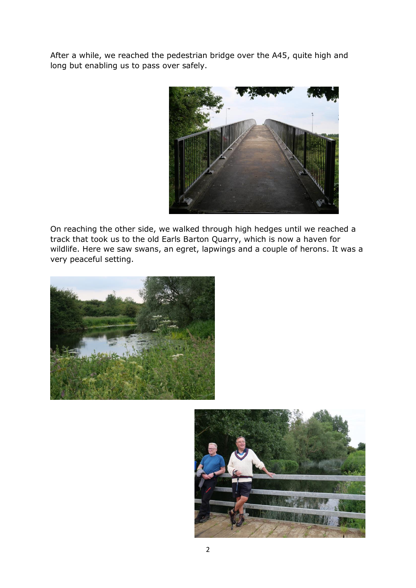After a while, we reached the pedestrian bridge over the A45, quite high and long but enabling us to pass over safely.



On reaching the other side, we walked through high hedges until we reached a track that took us to the old Earls Barton Quarry, which is now a haven for wildlife. Here we saw swans, an egret, lapwings and a couple of herons. It was a very peaceful setting.